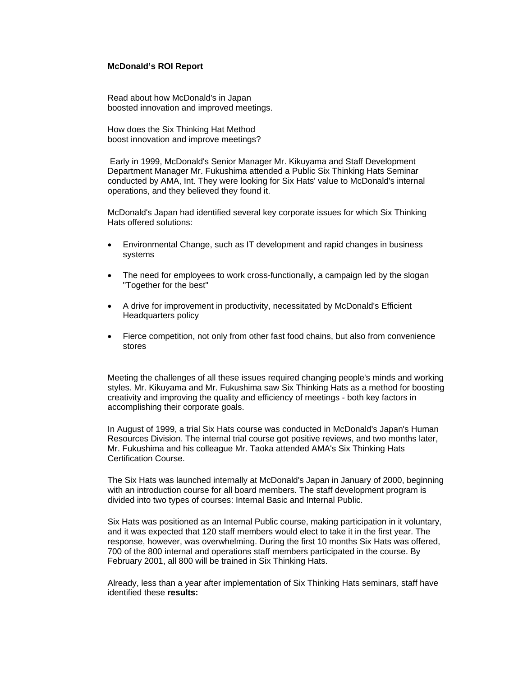## **McDonald's ROI Report**

Read about how McDonald's in Japan boosted innovation and improved meetings.

How does the Six Thinking Hat Method boost innovation and improve meetings?

 Early in 1999, McDonald's Senior Manager Mr. Kikuyama and Staff Development Department Manager Mr. Fukushima attended a Public Six Thinking Hats Seminar conducted by AMA, Int. They were looking for Six Hats' value to McDonald's internal operations, and they believed they found it.

McDonald's Japan had identified several key corporate issues for which Six Thinking Hats offered solutions:

- Environmental Change, such as IT development and rapid changes in business systems
- The need for employees to work cross-functionally, a campaign led by the slogan "Together for the best"
- A drive for improvement in productivity, necessitated by McDonald's Efficient Headquarters policy
- Fierce competition, not only from other fast food chains, but also from convenience stores

Meeting the challenges of all these issues required changing people's minds and working styles. Mr. Kikuyama and Mr. Fukushima saw Six Thinking Hats as a method for boosting creativity and improving the quality and efficiency of meetings - both key factors in accomplishing their corporate goals.

In August of 1999, a trial Six Hats course was conducted in McDonald's Japan's Human Resources Division. The internal trial course got positive reviews, and two months later, Mr. Fukushima and his colleague Mr. Taoka attended AMA's Six Thinking Hats Certification Course.

The Six Hats was launched internally at McDonald's Japan in January of 2000, beginning with an introduction course for all board members. The staff development program is divided into two types of courses: Internal Basic and Internal Public.

Six Hats was positioned as an Internal Public course, making participation in it voluntary, and it was expected that 120 staff members would elect to take it in the first year. The response, however, was overwhelming. During the first 10 months Six Hats was offered, 700 of the 800 internal and operations staff members participated in the course. By February 2001, all 800 will be trained in Six Thinking Hats.

Already, less than a year after implementation of Six Thinking Hats seminars, staff have identified these **results:**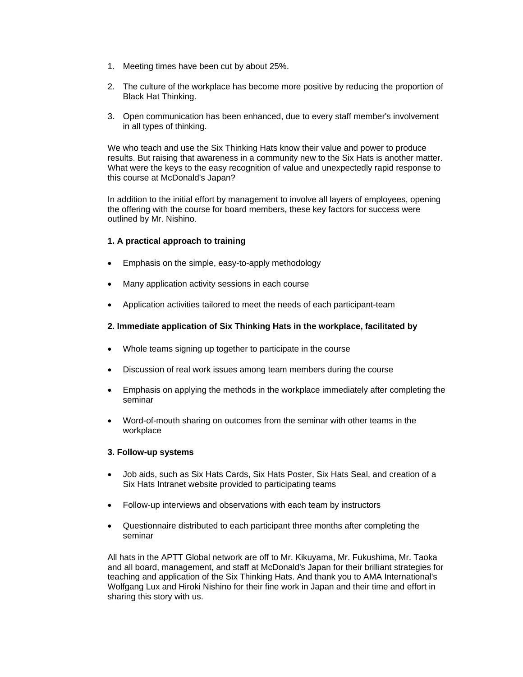- 1. Meeting times have been cut by about 25%.
- 2. The culture of the workplace has become more positive by reducing the proportion of Black Hat Thinking.
- 3. Open communication has been enhanced, due to every staff member's involvement in all types of thinking.

We who teach and use the Six Thinking Hats know their value and power to produce results. But raising that awareness in a community new to the Six Hats is another matter. What were the keys to the easy recognition of value and unexpectedly rapid response to this course at McDonald's Japan?

In addition to the initial effort by management to involve all layers of employees, opening the offering with the course for board members, these key factors for success were outlined by Mr. Nishino.

## **1. A practical approach to training**

- Emphasis on the simple, easy-to-apply methodology
- Many application activity sessions in each course
- Application activities tailored to meet the needs of each participant-team

## **2. Immediate application of Six Thinking Hats in the workplace, facilitated by**

- Whole teams signing up together to participate in the course
- Discussion of real work issues among team members during the course
- Emphasis on applying the methods in the workplace immediately after completing the seminar
- Word-of-mouth sharing on outcomes from the seminar with other teams in the workplace

## **3. Follow-up systems**

- Job aids, such as Six Hats Cards, Six Hats Poster, Six Hats Seal, and creation of a Six Hats Intranet website provided to participating teams
- Follow-up interviews and observations with each team by instructors
- Questionnaire distributed to each participant three months after completing the seminar

All hats in the APTT Global network are off to Mr. Kikuyama, Mr. Fukushima, Mr. Taoka and all board, management, and staff at McDonald's Japan for their brilliant strategies for teaching and application of the Six Thinking Hats. And thank you to AMA International's Wolfgang Lux and Hiroki Nishino for their fine work in Japan and their time and effort in sharing this story with us.